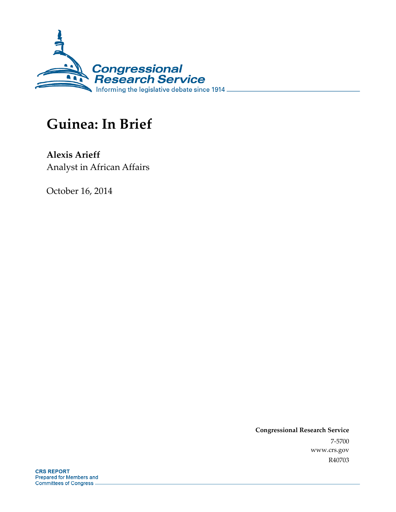

# **Guinea: In Brief**

**Alexis Arieff**  Analyst in African Affairs

October 16, 2014

**Congressional Research Service**  7-5700 www.crs.gov R40703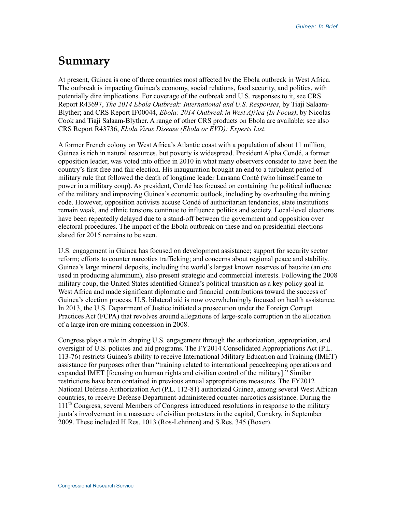# **Summary**

At present, Guinea is one of three countries most affected by the Ebola outbreak in West Africa. The outbreak is impacting Guinea's economy, social relations, food security, and politics, with potentially dire implications. For coverage of the outbreak and U.S. responses to it, see CRS Report R43697, *The 2014 Ebola Outbreak: International and U.S. Responses*, by Tiaji Salaam-Blyther; and CRS Report IF00044, *Ebola: 2014 Outbreak in West Africa (In Focus)*, by Nicolas Cook and Tiaji Salaam-Blyther. A range of other CRS products on Ebola are available; see also CRS Report R43736, *Ebola Virus Disease (Ebola or EVD): Experts List*.

A former French colony on West Africa's Atlantic coast with a population of about 11 million, Guinea is rich in natural resources, but poverty is widespread. President Alpha Condé, a former opposition leader, was voted into office in 2010 in what many observers consider to have been the country's first free and fair election. His inauguration brought an end to a turbulent period of military rule that followed the death of longtime leader Lansana Conté (who himself came to power in a military coup). As president, Condé has focused on containing the political influence of the military and improving Guinea's economic outlook, including by overhauling the mining code. However, opposition activists accuse Condé of authoritarian tendencies, state institutions remain weak, and ethnic tensions continue to influence politics and society. Local-level elections have been repeatedly delayed due to a stand-off between the government and opposition over electoral procedures. The impact of the Ebola outbreak on these and on presidential elections slated for 2015 remains to be seen.

U.S. engagement in Guinea has focused on development assistance; support for security sector reform; efforts to counter narcotics trafficking; and concerns about regional peace and stability. Guinea's large mineral deposits, including the world's largest known reserves of bauxite (an ore used in producing aluminum), also present strategic and commercial interests. Following the 2008 military coup, the United States identified Guinea's political transition as a key policy goal in West Africa and made significant diplomatic and financial contributions toward the success of Guinea's election process. U.S. bilateral aid is now overwhelmingly focused on health assistance. In 2013, the U.S. Department of Justice initiated a prosecution under the Foreign Corrupt Practices Act (FCPA) that revolves around allegations of large-scale corruption in the allocation of a large iron ore mining concession in 2008.

Congress plays a role in shaping U.S. engagement through the authorization, appropriation, and oversight of U.S. policies and aid programs. The FY2014 Consolidated Appropriations Act (P.L. 113-76) restricts Guinea's ability to receive International Military Education and Training (IMET) assistance for purposes other than "training related to international peacekeeping operations and expanded IMET [focusing on human rights and civilian control of the military]." Similar restrictions have been contained in previous annual appropriations measures. The FY2012 National Defense Authorization Act (P.L. 112-81) authorized Guinea, among several West African countries, to receive Defense Department-administered counter-narcotics assistance. During the 111<sup>th</sup> Congress, several Members of Congress introduced resolutions in response to the military junta's involvement in a massacre of civilian protesters in the capital, Conakry, in September 2009. These included H.Res. 1013 (Ros-Lehtinen) and S.Res. 345 (Boxer).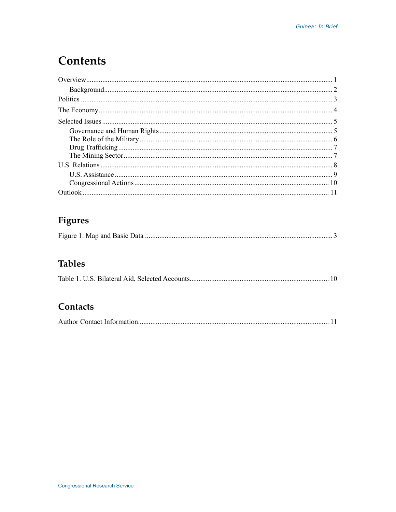# **Contents**

## Figures

|--|--|

## **Tables**

|--|--|--|--|

## Contacts

|--|--|--|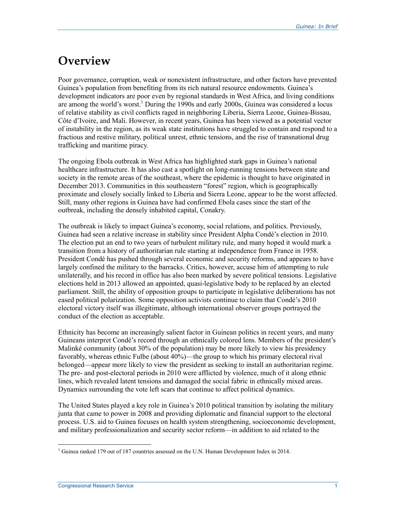# **Overview**

Poor governance, corruption, weak or nonexistent infrastructure, and other factors have prevented Guinea's population from benefiting from its rich natural resource endowments. Guinea's development indicators are poor even by regional standards in West Africa, and living conditions are among the world's worst.<sup>1</sup> During the 1990s and early 2000s, Guinea was considered a locus of relative stability as civil conflicts raged in neighboring Liberia, Sierra Leone, Guinea-Bissau, Côte d'Ivoire, and Mali. However, in recent years, Guinea has been viewed as a potential vector of instability in the region, as its weak state institutions have struggled to contain and respond to a fractious and restive military, political unrest, ethnic tensions, and the rise of transnational drug trafficking and maritime piracy.

The ongoing Ebola outbreak in West Africa has highlighted stark gaps in Guinea's national healthcare infrastructure. It has also cast a spotlight on long-running tensions between state and society in the remote areas of the southeast, where the epidemic is thought to have originated in December 2013. Communities in this southeastern "forest" region, which is geographically proximate and closely socially linked to Liberia and Sierra Leone, appear to be the worst affected. Still, many other regions in Guinea have had confirmed Ebola cases since the start of the outbreak, including the densely inhabited capital, Conakry.

The outbreak is likely to impact Guinea's economy, social relations, and politics. Previously, Guinea had seen a relative increase in stability since President Alpha Condé's election in 2010. The election put an end to two years of turbulent military rule, and many hoped it would mark a transition from a history of authoritarian rule starting at independence from France in 1958. President Condé has pushed through several economic and security reforms, and appears to have largely confined the military to the barracks. Critics, however, accuse him of attempting to rule unilaterally, and his record in office has also been marked by severe political tensions. Legislative elections held in 2013 allowed an appointed, quasi-legislative body to be replaced by an elected parliament. Still, the ability of opposition groups to participate in legislative deliberations has not eased political polarization. Some opposition activists continue to claim that Condé's 2010 electoral victory itself was illegitimate, although international observer groups portrayed the conduct of the election as acceptable.

Ethnicity has become an increasingly salient factor in Guinean politics in recent years, and many Guineans interpret Condé's record through an ethnically colored lens. Members of the president's Malinké community (about 30% of the population) may be more likely to view his presidency favorably, whereas ethnic Fulbe (about 40%)—the group to which his primary electoral rival belonged—appear more likely to view the president as seeking to install an authoritarian regime. The pre- and post-electoral periods in 2010 were afflicted by violence, much of it along ethnic lines, which revealed latent tensions and damaged the social fabric in ethnically mixed areas. Dynamics surrounding the vote left scars that continue to affect political dynamics.

The United States played a key role in Guinea's 2010 political transition by isolating the military junta that came to power in 2008 and providing diplomatic and financial support to the electoral process. U.S. aid to Guinea focuses on health system strengthening, socioeconomic development, and military professionalization and security sector reform—in addition to aid related to the

<sup>&</sup>lt;u>.</u> <sup>1</sup> Guinea ranked 179 out of 187 countries assessed on the U.N. Human Development Index in 2014.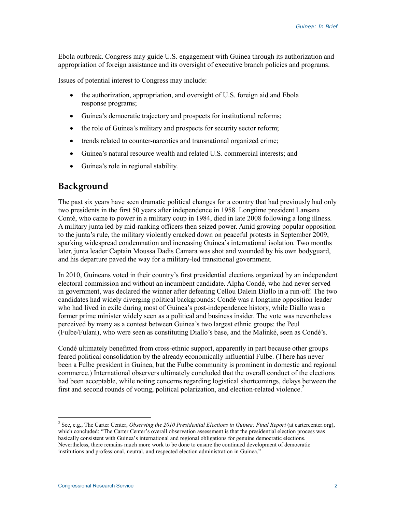Ebola outbreak. Congress may guide U.S. engagement with Guinea through its authorization and appropriation of foreign assistance and its oversight of executive branch policies and programs.

Issues of potential interest to Congress may include:

- the authorization, appropriation, and oversight of U.S. foreign aid and Ebola response programs;
- Guinea's democratic trajectory and prospects for institutional reforms;
- the role of Guinea's military and prospects for security sector reform;
- trends related to counter-narcotics and transnational organized crime;
- Guinea's natural resource wealth and related U.S. commercial interests; and
- Guinea's role in regional stability.

### **Background**

The past six years have seen dramatic political changes for a country that had previously had only two presidents in the first 50 years after independence in 1958. Longtime president Lansana Conté, who came to power in a military coup in 1984, died in late 2008 following a long illness. A military junta led by mid-ranking officers then seized power. Amid growing popular opposition to the junta's rule, the military violently cracked down on peaceful protests in September 2009, sparking widespread condemnation and increasing Guinea's international isolation. Two months later, junta leader Captain Moussa Dadis Camara was shot and wounded by his own bodyguard, and his departure paved the way for a military-led transitional government.

In 2010, Guineans voted in their country's first presidential elections organized by an independent electoral commission and without an incumbent candidate. Alpha Condé, who had never served in government, was declared the winner after defeating Cellou Dalein Diallo in a run-off. The two candidates had widely diverging political backgrounds: Condé was a longtime opposition leader who had lived in exile during most of Guinea's post-independence history, while Diallo was a former prime minister widely seen as a political and business insider. The vote was nevertheless perceived by many as a contest between Guinea's two largest ethnic groups: the Peul (Fulbe/Fulani), who were seen as constituting Diallo's base, and the Malinké, seen as Condé's.

Condé ultimately benefitted from cross-ethnic support, apparently in part because other groups feared political consolidation by the already economically influential Fulbe. (There has never been a Fulbe president in Guinea, but the Fulbe community is prominent in domestic and regional commerce.) International observers ultimately concluded that the overall conduct of the elections had been acceptable, while noting concerns regarding logistical shortcomings, delays between the first and second rounds of voting, political polarization, and election-related violence.<sup>2</sup>

<sup>2</sup> See, e.g., The Carter Center, *Observing the 2010 Presidential Elections in Guinea: Final Report* (at cartercenter.org), which concluded: "The Carter Center's overall observation assessment is that the presidential election process was basically consistent with Guinea's international and regional obligations for genuine democratic elections. Nevertheless, there remains much more work to be done to ensure the continued development of democratic institutions and professional, neutral, and respected election administration in Guinea."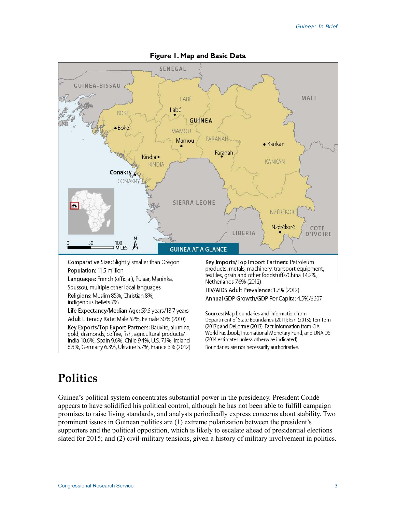

#### **Figure 1. Map and Basic Data**

# **Politics**

Guinea's political system concentrates substantial power in the presidency. President Condé appears to have solidified his political control, although he has not been able to fulfill campaign promises to raise living standards, and analysts periodically express concerns about stability. Two prominent issues in Guinean politics are (1) extreme polarization between the president's supporters and the political opposition, which is likely to escalate ahead of presidential elections slated for 2015; and (2) civil-military tensions, given a history of military involvement in politics.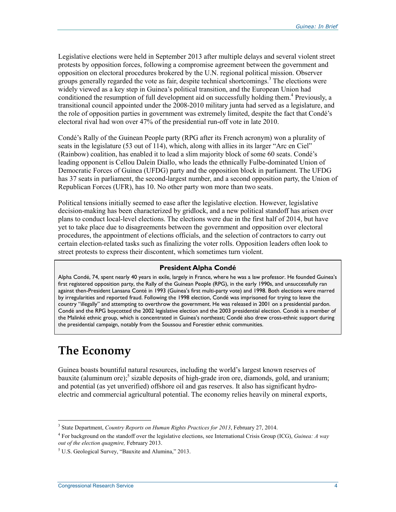Legislative elections were held in September 2013 after multiple delays and several violent street protests by opposition forces, following a compromise agreement between the government and opposition on electoral procedures brokered by the U.N. regional political mission. Observer groups generally regarded the vote as fair, despite technical shortcomings.<sup>3</sup> The elections were widely viewed as a key step in Guinea's political transition, and the European Union had conditioned the resumption of full development aid on successfully holding them.<sup>4</sup> Previously, a transitional council appointed under the 2008-2010 military junta had served as a legislature, and the role of opposition parties in government was extremely limited, despite the fact that Condé's electoral rival had won over 47% of the presidential run-off vote in late 2010.

Condé's Rally of the Guinean People party (RPG after its French acronym) won a plurality of seats in the legislature (53 out of 114), which, along with allies in its larger "Arc en Ciel" (Rainbow) coalition, has enabled it to lead a slim majority block of some 60 seats. Condé's leading opponent is Cellou Dalein Diallo, who leads the ethnically Fulbe-dominated Union of Democratic Forces of Guinea (UFDG) party and the opposition block in parliament. The UFDG has 37 seats in parliament, the second-largest number, and a second opposition party, the Union of Republican Forces (UFR), has 10. No other party won more than two seats.

Political tensions initially seemed to ease after the legislative election. However, legislative decision-making has been characterized by gridlock, and a new political standoff has arisen over plans to conduct local-level elections. The elections were due in the first half of 2014, but have yet to take place due to disagreements between the government and opposition over electoral procedures, the appointment of elections officials, and the selection of contractors to carry out certain election-related tasks such as finalizing the voter rolls. Opposition leaders often look to street protests to express their discontent, which sometimes turn violent.

#### **President Alpha Condé**

Alpha Condé, 74, spent nearly 40 years in exile, largely in France, where he was a law professor. He founded Guinea's first registered opposition party, the Rally of the Guinean People (RPG), in the early 1990s, and unsuccessfully ran against then-President Lansana Conté in 1993 (Guinea's first multi-party vote) and 1998. Both elections were marred by irregularities and reported fraud. Following the 1998 election, Condé was imprisoned for trying to leave the country "illegally" and attempting to overthrow the government. He was released in 2001 on a presidential pardon. Condé and the RPG boycotted the 2002 legislative election and the 2003 presidential election. Condé is a member of the Malinké ethnic group, which is concentrated in Guinea's northeast; Condé also drew cross-ethnic support during the presidential campaign, notably from the Soussou and Forestier ethnic communities.

# **The Economy**

1

Guinea boasts bountiful natural resources, including the world's largest known reserves of bauxite (aluminum ore);<sup>5</sup> sizable deposits of high-grade iron ore, diamonds, gold, and uranium; and potential (as yet unverified) offshore oil and gas reserves. It also has significant hydroelectric and commercial agricultural potential. The economy relies heavily on mineral exports,

<sup>3</sup> State Department, *Country Reports on Human Rights Practices for 2013*, February 27, 2014.

<sup>4</sup> For background on the standoff over the legislative elections, see International Crisis Group (ICG), *Guinea: A way out of the election quagmire,* February 2013.

<sup>&</sup>lt;sup>5</sup> U.S. Geological Survey, "Bauxite and Alumina," 2013.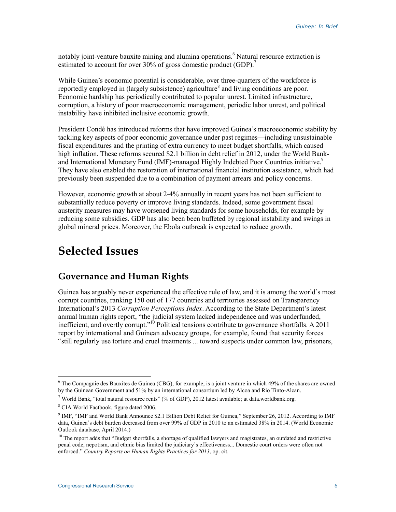notably joint-venture bauxite mining and alumina operations.<sup>6</sup> Natural resource extraction is estimated to account for over 30% of gross domestic product (GDP).<sup>7</sup>

While Guinea's economic potential is considerable, over three-quarters of the workforce is reportedly employed in (largely subsistence) agriculture<sup>8</sup> and living conditions are poor. Economic hardship has periodically contributed to popular unrest. Limited infrastructure, corruption, a history of poor macroeconomic management, periodic labor unrest, and political instability have inhibited inclusive economic growth.

President Condé has introduced reforms that have improved Guinea's macroeconomic stability by tackling key aspects of poor economic governance under past regimes—including unsustainable fiscal expenditures and the printing of extra currency to meet budget shortfalls, which caused high inflation. These reforms secured \$2.1 billion in debt relief in 2012, under the World Bankand International Monetary Fund (IMF)-managed Highly Indebted Poor Countries initiative.<sup>9</sup> They have also enabled the restoration of international financial institution assistance, which had previously been suspended due to a combination of payment arrears and policy concerns.

However, economic growth at about 2-4% annually in recent years has not been sufficient to substantially reduce poverty or improve living standards. Indeed, some government fiscal austerity measures may have worsened living standards for some households, for example by reducing some subsidies. GDP has also been been buffeted by regional instability and swings in global mineral prices. Moreover, the Ebola outbreak is expected to reduce growth.

## **Selected Issues**

#### **Governance and Human Rights**

Guinea has arguably never experienced the effective rule of law, and it is among the world's most corrupt countries, ranking 150 out of 177 countries and territories assessed on Transparency International's 2013 *Corruption Perceptions Index*. According to the State Department's latest annual human rights report, "the judicial system lacked independence and was underfunded, inefficient, and overtly corrupt."<sup>10</sup> Political tensions contribute to governance shortfalls. A 2011 report by international and Guinean advocacy groups, for example, found that security forces "still regularly use torture and cruel treatments ... toward suspects under common law, prisoners,

<sup>&</sup>lt;sup>6</sup> The Compagnie des Bauxites de Guinea (CBG), for example, is a joint venture in which 49% of the shares are owned by the Guinean Government and 51% by an international consortium led by Alcoa and Rio Tinto-Alcan.

<sup>&</sup>lt;sup>7</sup> World Bank, "total natural resource rents" (% of GDP), 2012 latest available; at data.worldbank.org.

<sup>&</sup>lt;sup>8</sup> CIA World Factbook, figure dated 2006.

<sup>&</sup>lt;sup>9</sup> IMF, "IMF and World Bank Announce \$2.1 Billion Debt Relief for Guinea," September 26, 2012. According to IMF data, Guinea's debt burden decreased from over 99% of GDP in 2010 to an estimated 38% in 2014. (World Economic Outlook database, April 2014.)

 $10$  The report adds that "Budget shortfalls, a shortage of qualified lawyers and magistrates, an outdated and restrictive penal code, nepotism, and ethnic bias limited the judiciary's effectiveness... Domestic court orders were often not enforced." *Country Reports on Human Rights Practices for 2013*, op. cit.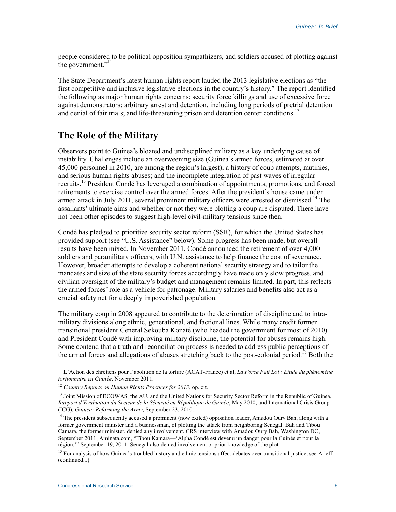people considered to be political opposition sympathizers, and soldiers accused of plotting against the government."<sup>11</sup>

The State Department's latest human rights report lauded the 2013 legislative elections as "the first competitive and inclusive legislative elections in the country's history." The report identified the following as major human rights concerns: security force killings and use of excessive force against demonstrators; arbitrary arrest and detention, including long periods of pretrial detention and denial of fair trials; and life-threatening prison and detention center conditions.<sup>12</sup>

### **The Role of the Military**

Observers point to Guinea's bloated and undisciplined military as a key underlying cause of instability. Challenges include an overweening size (Guinea's armed forces, estimated at over 45,000 personnel in 2010, are among the region's largest); a history of coup attempts, mutinies, and serious human rights abuses; and the incomplete integration of past waves of irregular recruits.13 President Condé has leveraged a combination of appointments, promotions, and forced retirements to exercise control over the armed forces. After the president's house came under armed attack in July 2011, several prominent military officers were arrested or dismissed.<sup>14</sup> The assailants' ultimate aims and whether or not they were plotting a coup are disputed. There have not been other episodes to suggest high-level civil-military tensions since then.

Condé has pledged to prioritize security sector reform (SSR), for which the United States has provided support (see "U.S. Assistance" below). Some progress has been made, but overall results have been mixed. In November 2011, Condé announced the retirement of over 4,000 soldiers and paramilitary officers, with U.N. assistance to help finance the cost of severance. However, broader attempts to develop a coherent national security strategy and to tailor the mandates and size of the state security forces accordingly have made only slow progress, and civilian oversight of the military's budget and management remains limited. In part, this reflects the armed forces' role as a vehicle for patronage. Military salaries and benefits also act as a crucial safety net for a deeply impoverished population.

The military coup in 2008 appeared to contribute to the deterioration of discipline and to intramilitary divisions along ethnic, generational, and factional lines. While many credit former transitional president General Sekouba Konaté (who headed the government for most of 2010) and President Condé with improving military discipline, the potential for abuses remains high. Some contend that a truth and reconciliation process is needed to address public perceptions of the armed forces and allegations of abuses stretching back to the post-colonial period.<sup>15</sup> Both the

<sup>11</sup> L'Action des chrétiens pour l'abolition de la torture (ACAT-France) et al, *La Force Fait Loi : Etude du phénomène tortionnaire en Guinée*, November 2011.

<sup>12</sup> *Country Reports on Human Rights Practices for 2013*, op. cit.

<sup>&</sup>lt;sup>13</sup> Joint Mission of ECOWAS, the AU, and the United Nations for Security Sector Reform in the Republic of Guinea, *Rapport d'Évaluation du Secteur de la Sécurité en République de Guinée*, May 2010; and International Crisis Group (ICG), *Guinea: Reforming the Army*, September 23, 2010.

<sup>&</sup>lt;sup>14</sup> The president subsequently accused a prominent (now exiled) opposition leader, Amadou Oury Bah, along with a former government minister and a businessman, of plotting the attack from neighboring Senegal. Bah and Tibou Camara, the former minister, denied any involvement. CRS interview with Amadou Oury Bah, Washington DC, September 2011; Aminata.com, "Tibou Kamara—'Alpha Condé est devenu un danger pour la Guinée et pour la région,'" September 19, 2011. Senegal also denied involvement or prior knowledge of the plot.

 $<sup>15</sup>$  For analysis of how Guinea's troubled history and ethnic tensions affect debates over transitional justice, see Arieff</sup> (continued...)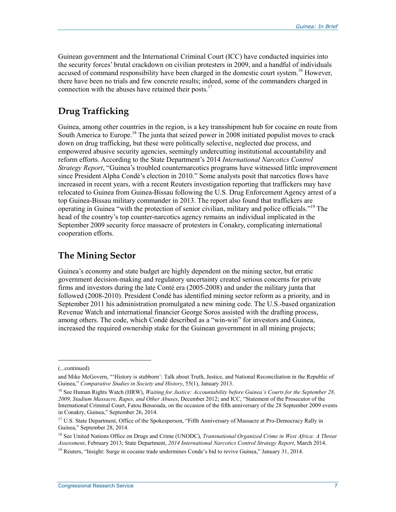Guinean government and the International Criminal Court (ICC) have conducted inquiries into the security forces' brutal crackdown on civilian protesters in 2009, and a handful of individuals accused of command responsibility have been charged in the domestic court system.<sup>16</sup> However, there have been no trials and few concrete results; indeed, some of the commanders charged in connection with the abuses have retained their posts.<sup>17</sup>

### **Drug Trafficking**

Guinea, among other countries in the region, is a key transshipment hub for cocaine en route from South America to Europe.<sup>18</sup> The junta that seized power in 2008 initiated populist moves to crack down on drug trafficking, but these were politically selective, neglected due process, and empowered abusive security agencies, seemingly undercutting institutional accountability and reform efforts. According to the State Department's 2014 *International Narcotics Control Strategy Report*, "Guinea's troubled counternarcotics programs have witnessed little improvement since President Alpha Condé's election in 2010." Some analysts posit that narcotics flows have increased in recent years, with a recent Reuters investigation reporting that traffickers may have relocated to Guinea from Guinea-Bissau following the U.S. Drug Enforcement Agency arrest of a top Guinea-Bissau military commander in 2013. The report also found that traffickers are operating in Guinea "with the protection of senior civilian, military and police officials."19 The head of the country's top counter-narcotics agency remains an individual implicated in the September 2009 security force massacre of protesters in Conakry, complicating international cooperation efforts.

### **The Mining Sector**

Guinea's economy and state budget are highly dependent on the mining sector, but erratic government decision-making and regulatory uncertainty created serious concerns for private firms and investors during the late Conté era (2005-2008) and under the military junta that followed (2008-2010). President Condé has identified mining sector reform as a priority, and in September 2011 his administration promulgated a new mining code. The U.S.-based organization Revenue Watch and international financier George Soros assisted with the drafting process, among others. The code, which Condé described as a "win-win" for investors and Guinea, increased the required ownership stake for the Guinean government in all mining projects;

<sup>(...</sup>continued)

and Mike McGovern, "'History is stubborn': Talk about Truth, Justice, and National Reconciliation in the Republic of Guinea," *Comparative Studies in Society and History*, 55(1), January 2013.

<sup>&</sup>lt;sup>16</sup> See Human Rights Watch (HRW), *Waiting for Justice: Accountability before Guinea's Courts for the September 28*, *2009, Stadium Massacre, Rapes, and Other Abuses*, December 2012; and ICC, "Statement of the Prosecutor of the International Criminal Court, Fatou Bensouda, on the occasion of the fifth anniversary of the 28 September 2009 events in Conakry, Guinea," September 26, 2014.

<sup>&</sup>lt;sup>17</sup> U.S. State Department, Office of the Spokesperson, "Fifth Anniversary of Massacre at Pro-Democracy Rally in Guinea," September 28, 2014.

<sup>18</sup> See United Nations Office on Drugs and Crime (UNODC), *Transnational Organized Crime in West Africa: A Threat Assessment*, February 2013; State Department, *2014 International Narcotics Control Strategy Report*, March 2014.

<sup>&</sup>lt;sup>19</sup> Reuters, "Insight: Surge in cocaine trade undermines Conde's bid to revive Guinea," January 31, 2014.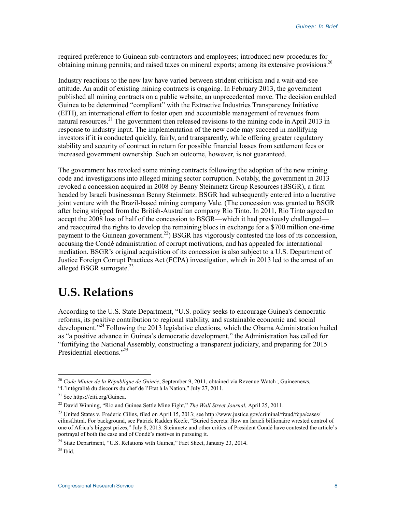required preference to Guinean sub-contractors and employees; introduced new procedures for obtaining mining permits; and raised taxes on mineral exports; among its extensive provisions.<sup>20</sup>

Industry reactions to the new law have varied between strident criticism and a wait-and-see attitude. An audit of existing mining contracts is ongoing. In February 2013, the government published all mining contracts on a public website, an unprecedented move. The decision enabled Guinea to be determined "compliant" with the Extractive Industries Transparency Initiative (EITI), an international effort to foster open and accountable management of revenues from natural resources.<sup>21</sup> The government then released revisions to the mining code in April 2013 in response to industry input. The implementation of the new code may succeed in mollifying investors if it is conducted quickly, fairly, and transparently, while offering greater regulatory stability and security of contract in return for possible financial losses from settlement fees or increased government ownership. Such an outcome, however, is not guaranteed.

The government has revoked some mining contracts following the adoption of the new mining code and investigations into alleged mining sector corruption. Notably, the government in 2013 revoked a concession acquired in 2008 by Benny Steinmetz Group Resources (BSGR), a firm headed by Israeli businessman Benny Steinmetz. BSGR had subsequently entered into a lucrative joint venture with the Brazil-based mining company Vale. (The concession was granted to BSGR after being stripped from the British-Australian company Rio Tinto. In 2011, Rio Tinto agreed to accept the 2008 loss of half of the concession to BSGR—which it had previously challenged and reacquired the rights to develop the remaining blocs in exchange for a \$700 million one-time payment to the Guinean government.<sup>22</sup>) BSGR has vigorously contested the loss of its concession, accusing the Condé administration of corrupt motivations, and has appealed for international mediation. BSGR's original acquisition of its concession is also subject to a U.S. Department of Justice Foreign Corrupt Practices Act (FCPA) investigation, which in 2013 led to the arrest of an alleged BSGR surrogate. $^{23}$ 

## **U.S. Relations**

According to the U.S. State Department, "U.S. policy seeks to encourage Guinea's democratic reforms, its positive contribution to regional stability, and sustainable economic and social development."<sup>24</sup> Following the 2013 legislative elections, which the Obama Administration hailed as "a positive advance in Guinea's democratic development," the Administration has called for "fortifying the National Assembly, constructing a transparent judiciary, and preparing for 2015 Presidential elections."<sup>25</sup>

<sup>20</sup> *Code Minier de la République de Guinée*, September 9, 2011, obtained via Revenue Watch ; Guineenews,

<sup>&</sup>quot;L'intégralité du discours du chef de l'Etat à la Nation," July 27, 2011.

<sup>21</sup> See https://eiti.org/Guinea.

<sup>22</sup> David Winning, "Rio and Guinea Settle Mine Fight," *The Wall Street Journal*, April 25, 2011.

<sup>&</sup>lt;sup>23</sup> United States v. Frederic Cilins, filed on April 15, 2013; see http://www.justice.gov/criminal/fraud/fcpa/cases/ cilinsf.html. For background, see Patrick Radden Keefe, "Buried Secrets: How an Israeli billionaire wrested control of one of Africa's biggest prizes," July 8, 2013. Steinmetz and other critics of President Condé have contested the article's portrayal of both the case and of Condé's motives in pursuing it.

<sup>&</sup>lt;sup>24</sup> State Department, "U.S. Relations with Guinea," Fact Sheet, January 23, 2014.

 $25$  Ibid.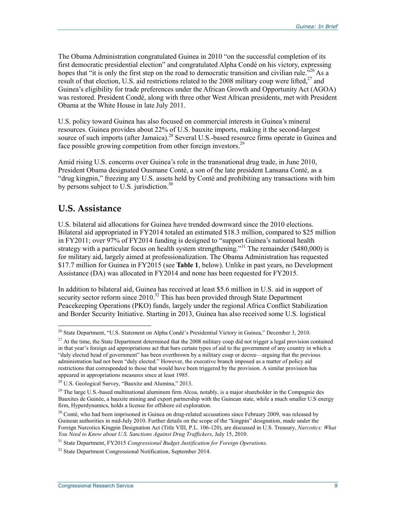The Obama Administration congratulated Guinea in 2010 "on the successful completion of its first democratic presidential election" and congratulated Alpha Condé on his victory, expressing hopes that "it is only the first step on the road to democratic transition and civilian rule.<sup>726</sup> As a result of that election, U.S. aid restrictions related to the 2008 military coup were lifted, $27$  and Guinea's eligibility for trade preferences under the African Growth and Opportunity Act (AGOA) was restored. President Condé, along with three other West African presidents, met with President Obama at the White House in late July 2011.

U.S. policy toward Guinea has also focused on commercial interests in Guinea's mineral resources. Guinea provides about 22% of U.S. bauxite imports, making it the second-largest source of such imports (after Jamaica).<sup>28</sup> Several U.S.-based resource firms operate in Guinea and face possible growing competition from other foreign investors.<sup>29</sup>

Amid rising U.S. concerns over Guinea's role in the transnational drug trade, in June 2010, President Obama designated Ousmane Conté, a son of the late president Lansana Conté, as a "drug kingpin," freezing any U.S. assets held by Conté and prohibiting any transactions with him by persons subject to U.S. jurisdiction.<sup>30</sup>

### **U.S. Assistance**

1

U.S. bilateral aid allocations for Guinea have trended downward since the 2010 elections. Bilateral aid appropriated in FY2014 totaled an estimated \$18.3 million, compared to \$25 million in FY2011; over 97% of FY2014 funding is designed to "support Guinea's national health strategy with a particular focus on health system strengthening."<sup>31</sup> The remainder (\$480,000) is for military aid, largely aimed at professionalization. The Obama Administration has requested \$17.7 million for Guinea in FY2015 (see **Table 1**, below). Unlike in past years, no Development Assistance (DA) was allocated in FY2014 and none has been requested for FY2015.

In addition to bilateral aid, Guinea has received at least \$5.6 million in U.S. aid in support of security sector reform since 2010.<sup>32</sup> This has been provided through State Department Peacekeeping Operations (PKO) funds, largely under the regional Africa Conflict Stabilization and Border Security Initiative. Starting in 2013, Guinea has also received some U.S. logistical

<sup>&</sup>lt;sup>26</sup> State Department, "U.S. Statement on Alpha Condé's Presidential Victory in Guinea," December 3, 2010.

 $^{27}$  At the time, the State Department determined that the 2008 military coup did not trigger a legal provision contained in that year's foreign aid appropriations act that bars certain types of aid to the government of any country in which a "duly elected head of government" has been overthrown by a military coup or decree—arguing that the previous administration had not been "duly elected." However, the executive branch imposed as a matter of policy aid restrictions that corresponded to those that would have been triggered by the provision. A similar provision has appeared in appropriations measures since at least 1985.

<sup>28</sup> U.S. Geological Survey, "Bauxite and Alumina," 2013.

<sup>&</sup>lt;sup>29</sup> The large U.S.-based multinational aluminum firm Alcoa, notably, is a major shareholder in the Compagnie des Bauxites de Guinée, a bauxite mining and export partnership with the Guinean state, while a much smaller U.S energy firm, Hyperdynamics, holds a license for offshore oil exploration.

 $30$  Conté, who had been imprisoned in Guinea on drug-related accusations since February 2009, was released by Guinean authorities in mid-July 2010. Further details on the scope of the "kingpin" designation, made under the Foreign Narcotics Kingpin Designation Act (Title VIII, P.L. 106-120), are discussed in U.S. Treasury, *Narcotics: What You Need to Know about U.S. Sanctions Against Drug Traffickers*, July 15, 2010.

<sup>31</sup> State Department, FY2015 *Congressional Budget Justification for Foreign Operations*.

<sup>&</sup>lt;sup>32</sup> State Department Congressional Notification, September 2014.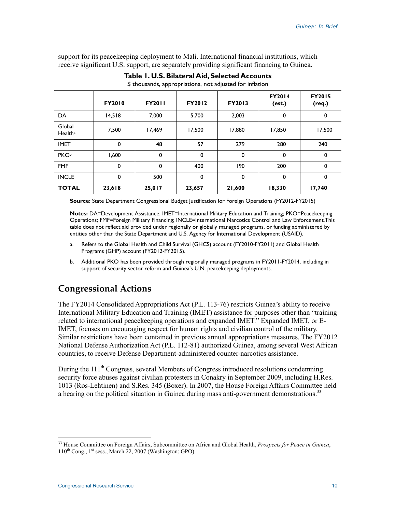support for its peacekeeping deployment to Mali. International financial institutions, which receive significant U.S. support, are separately providing significant financing to Guinea.

|                               | <b>FY2010</b> | <b>FY2011</b> | <b>FY2012</b> | <b>FY2013</b> | <b>FY2014</b><br>(est.) | <b>FY2015</b><br>(req.) |
|-------------------------------|---------------|---------------|---------------|---------------|-------------------------|-------------------------|
| DA                            | 14,518        | 7,000         | 5,700         | 2,003         | 0                       | 0                       |
| Global<br>Health <sup>a</sup> | 7,500         | 17,469        | 17,500        | 17,880        | 17,850                  | 17,500                  |
| <b>IMET</b>                   | $\mathbf 0$   | 48            | 57            | 279           | 280                     | 240                     |
| <b>PKOb</b>                   | 1,600         | 0             | 0             | 0             | 0                       | 0                       |
| <b>FMF</b>                    | $\mathbf 0$   | $\mathbf 0$   | 400           | 190           | 200                     | 0                       |
| <b>INCLE</b>                  | 0             | 500           | 0             | 0             | $\mathbf 0$             | 0                       |
| <b>TOTAL</b>                  | 23,618        | 25,017        | 23,657        | 21,600        | 18,330                  | 17,740                  |

**Table 1. U.S. Bilateral Aid, Selected Accounts** 

\$ thousands, appropriations, not adjusted for inflation

**Source:** State Department Congressional Budget Justification for Foreign Operations (FY2012-FY2015)

**Notes:** DA=Development Assistance; IMET=International Military Education and Training; PKO=Peacekeeping Operations; FMF=Foreign Military Financing; INCLE=International Narcotics Control and Law Enforcement.This table does not reflect aid provided under regionally or globally managed programs, or funding administered by entities other than the State Department and U.S. Agency for International Development (USAID).

- a. Refers to the Global Health and Child Survival (GHCS) account (FY2010-FY2011) and Global Health Programs (GHP) account (FY2012-FY2015).
- b. Additional PKO has been provided through regionally managed programs in FY2011-FY2014, including in support of security sector reform and Guinea's U.N. peacekeeping deployments.

## **Congressional Actions**

The FY2014 Consolidated Appropriations Act (P.L. 113-76) restricts Guinea's ability to receive International Military Education and Training (IMET) assistance for purposes other than "training related to international peacekeeping operations and expanded IMET." Expanded IMET, or E-IMET, focuses on encouraging respect for human rights and civilian control of the military. Similar restrictions have been contained in previous annual appropriations measures. The FY2012 National Defense Authorization Act (P.L. 112-81) authorized Guinea, among several West African countries, to receive Defense Department-administered counter-narcotics assistance.

During the  $111<sup>th</sup>$  Congress, several Members of Congress introduced resolutions condemning security force abuses against civilian protesters in Conakry in September 2009, including H.Res. 1013 (Ros-Lehtinen) and S.Res. 345 (Boxer). In 2007, the House Foreign Affairs Committee held a hearing on the political situation in Guinea during mass anti-government demonstrations.<sup>33</sup>

<sup>33</sup> House Committee on Foreign Affairs, Subcommittee on Africa and Global Health, *Prospects for Peace in Guinea*,  $110^{th}$  Cong.,  $1^{st}$  sess., March 22, 2007 (Washington: GPO).